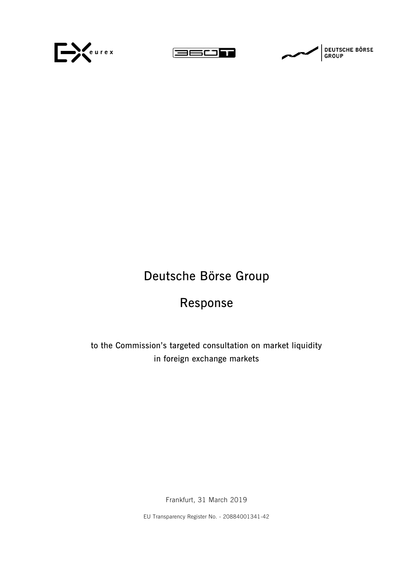





# **Deutsche Börse Group**

# **Response**

**to the Commission's targeted consultation on market liquidity in foreign exchange markets**

Frankfurt, 31 March 2019

EU Transparency Register No. - 20884001341-42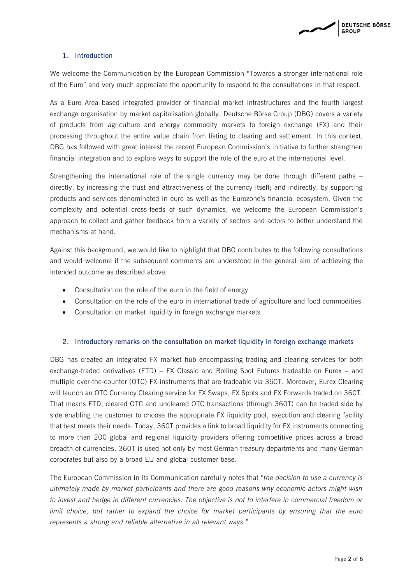

### **1. Introduction**

We welcome the Communication by the European Commission "Towards a stronger international role of the Euro" and very much appreciate the opportunity to respond to the consultations in that respect.

As a Euro Area based integrated provider of financial market infrastructures and the fourth largest exchange organisation by market capitalisation globally, Deutsche Börse Group (DBG) covers a variety of products from agriculture and energy commodity markets to foreign exchange (FX) and their processing throughout the entire value chain from listing to clearing and settlement. In this context, DBG has followed with great interest the recent European Commission's initiative to further strengthen financial integration and to explore ways to support the role of the euro at the international level.

Strengthening the international role of the single currency may be done through different paths – directly, by increasing the trust and attractiveness of the currency itself; and indirectly, by supporting products and services denominated in euro as well as the Eurozone's financial ecosystem. Given the complexity and potential cross-feeds of such dynamics, we welcome the European Commission's approach to collect and gather feedback from a variety of sectors and actors to better understand the mechanisms at hand.

Against this background, we would like to highlight that DBG contributes to the following consultations and would welcome if the subsequent comments are understood in the general aim of achieving the intended outcome as described above:

- Consultation on the role of the euro in the field of energy
- Consultation on the role of the euro in international trade of agriculture and food commodities
- Consultation on market liquidity in foreign exchange markets

#### **2. Introductory remarks on the consultation on market liquidity in foreign exchange markets**

DBG has created an integrated FX market hub encompassing trading and clearing services for both exchange-traded derivatives (ETD) – FX Classic and Rolling Spot Futures tradeable on Eurex – and multiple over-the-counter (OTC) FX instruments that are tradeable via 360T. Moreover, Eurex Clearing will launch an OTC Currency Clearing service for FX Swaps, FX Spots and FX Forwards traded on 360T. That means ETD, cleared OTC and uncleared OTC transactions (through 360T) can be traded side by side enabling the customer to choose the appropriate FX liquidity pool, execution and clearing facility that best meets their needs. Today, 360T provides a link to broad liquidity for FX instruments connecting to more than 200 global and regional liquidity providers offering competitive prices across a broad breadth of currencies. 360T is used not only by most German treasury departments and many German corporates but also by a broad EU and global customer base.

The European Commission in its Communication carefully notes that "*the decision to use a currency is ultimately made by market participants and there are good reasons why economic actors might wish to invest and hedge in different currencies. The objective is not to interfere in commercial freedom or limit choice, but rather to expand the choice for market participants by ensuring that the euro represents a strong and reliable alternative in all relevant ways.*"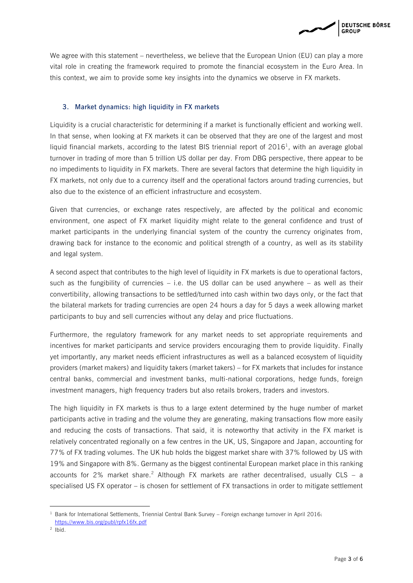**DEUTSCHE BÖRSE GROUP** 

We agree with this statement – nevertheless, we believe that the European Union (EU) can play a more vital role in creating the framework required to promote the financial ecosystem in the Euro Area. In this context, we aim to provide some key insights into the dynamics we observe in FX markets.

# **3. Market dynamics: high liquidity in FX markets**

Liquidity is a crucial characteristic for determining if a market is functionally efficient and working well. In that sense, when looking at FX markets it can be observed that they are one of the largest and most liquid financial markets, according to the latest BIS triennial report of  $2016<sup>1</sup>$ , with an average global turnover in trading of more than 5 trillion US dollar per day. From DBG perspective, there appear to be no impediments to liquidity in FX markets. There are several factors that determine the high liquidity in FX markets, not only due to a currency itself and the operational factors around trading currencies, but also due to the existence of an efficient infrastructure and ecosystem.

Given that currencies, or exchange rates respectively, are affected by the political and economic environment, one aspect of FX market liquidity might relate to the general confidence and trust of market participants in the underlying financial system of the country the currency originates from, drawing back for instance to the economic and political strength of a country, as well as its stability and legal system.

A second aspect that contributes to the high level of liquidity in FX markets is due to operational factors, such as the fungibility of currencies  $-$  i.e. the US dollar can be used anywhere  $-$  as well as their convertibility, allowing transactions to be settled/turned into cash within two days only, or the fact that the bilateral markets for trading currencies are open 24 hours a day for 5 days a week allowing market participants to buy and sell currencies without any delay and price fluctuations.

Furthermore, the regulatory framework for any market needs to set appropriate requirements and incentives for market participants and service providers encouraging them to provide liquidity. Finally yet importantly, any market needs efficient infrastructures as well as a balanced ecosystem of liquidity providers (market makers) and liquidity takers (market takers) – for FX markets that includes for instance central banks, commercial and investment banks, multi-national corporations, hedge funds, foreign investment managers, high frequency traders but also retails brokers, traders and investors.

The high liquidity in FX markets is thus to a large extent determined by the huge number of market participants active in trading and the volume they are generating, making transactions flow more easily and reducing the costs of transactions. That said, it is noteworthy that activity in the FX market is relatively concentrated regionally on a few centres in the UK, US, Singapore and Japan, accounting for 77% of FX trading volumes. The UK hub holds the biggest market share with 37% followed by US with 19% and Singapore with 8%. Germany as the biggest continental European market place in this ranking accounts for 2% market share.<sup>2</sup> Although FX markets are rather decentralised, usually CLS – a specialised US FX operator – is chosen for settlement of FX transactions in order to mitigate settlement

1

 $1$  Bank for International Settlements, Triennial Central Bank Survey – Foreign exchange turnover in April 2016:

<https://www.bis.org/publ/rpfx16fx.pdf>

 $2$  Ibid.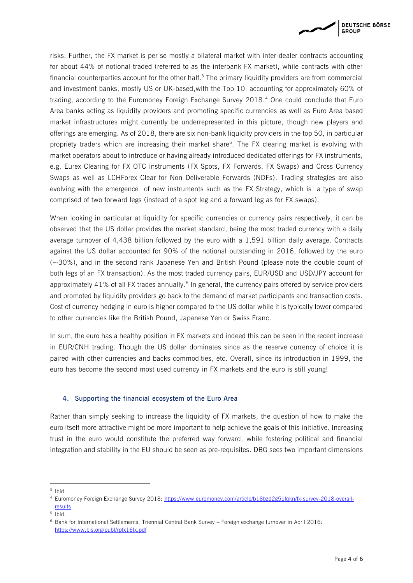

risks. Further, the FX market is per se mostly a bilateral market with inter-dealer contracts accounting for about 44% of notional traded (referred to as the interbank FX market), while contracts with other financial counterparties account for the other half. $3$  The primary liquidity providers are from commercial and investment banks, mostly US or UK-based,with the Top 10 accounting for approximately 60% of trading, according to the Euromoney Foreign Exchange Survey 2018. <sup>4</sup> One could conclude that Euro Area banks acting as liquidity providers and promoting specific currencies as well as Euro Area based market infrastructures might currently be underrepresented in this picture, though new players and offerings are emerging. As of 2018, there are six non-bank liquidity providers in the top 50, in particular propriety traders which are increasing their market share<sup>5</sup>. The FX clearing market is evolving with market operators about to introduce or having already introduced dedicated offerings for FX instruments, e.g. Eurex Clearing for FX OTC instruments (FX Spots, FX Forwards, FX Swaps) and Cross Currency Swaps as well as LCHForex Clear for Non Deliverable Forwards (NDFs). Trading strategies are also evolving with the emergence of new instruments such as the FX Strategy, which is a type of swap comprised of two forward legs (instead of a spot leg and a forward leg as for FX swaps).

When looking in particular at liquidity for specific currencies or currency pairs respectively, it can be observed that the US dollar provides the market standard, being the most traded currency with a daily average turnover of 4,438 billion followed by the euro with a 1,591 billion daily average. Contracts against the US dollar accounted for 90% of the notional outstanding in 2016, followed by the euro (~30%), and in the second rank Japanese Yen and British Pound (please note the double count of both legs of an FX transaction). As the most traded currency pairs, EUR/USD and USD/JPY account for approximately 41% of all FX trades annually.<sup>6</sup> In general, the currency pairs offered by service providers and promoted by liquidity providers go back to the demand of market participants and transaction costs. Cost of currency hedging in euro is higher compared to the US dollar while it is typically lower compared to other currencies like the British Pound, Japanese Yen or Swiss Franc.

In sum, the euro has a healthy position in FX markets and indeed this can be seen in the recent increase in EUR/CNH trading. Though the US dollar dominates since as the reserve currency of choice it is paired with other currencies and backs commodities, etc. Overall, since its introduction in 1999, the euro has become the second most used currency in FX markets and the euro is still young!

# **4. Supporting the financial ecosystem of the Euro Area**

Rather than simply seeking to increase the liquidity of FX markets, the question of how to make the euro itself more attractive might be more important to help achieve the goals of this initiative. Increasing trust in the euro would constitute the preferred way forward, while fostering political and financial integration and stability in the EU should be seen as pre-requisites. DBG sees two important dimensions

**.** 

 $3$  Ibid.

<sup>4</sup> Euromoney Foreign Exchange Survey 2018: [https://www.euromoney.com/article/b18bzd2g51lqkn/fx-survey-2018-overall](https://www.euromoney.com/article/b18bzd2g51lqkn/fx-survey-2018-overall-results)**[results](https://www.euromoney.com/article/b18bzd2g51lqkn/fx-survey-2018-overall-results)** 

<sup>5</sup> Ibid.

<sup>6</sup> Bank for International Settlements, Triennial Central Bank Survey – Foreign exchange turnover in April 2016: <https://www.bis.org/publ/rpfx16fx.pdf>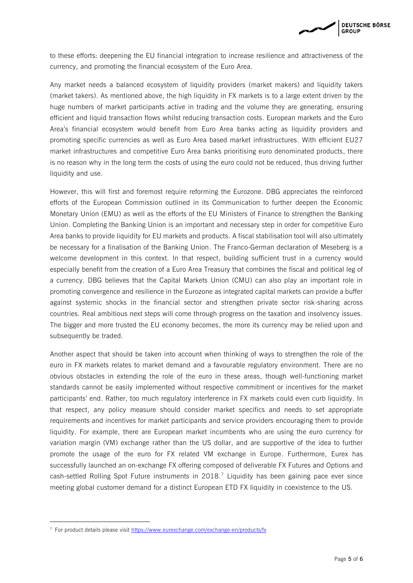

to these efforts: deepening the EU financial integration to increase resilience and attractiveness of the currency, and promoting the financial ecosystem of the Euro Area.

Any market needs a balanced ecosystem of liquidity providers (market makers) and liquidity takers (market takers). As mentioned above, the high liquidity in FX markets is to a large extent driven by the huge numbers of market participants active in trading and the volume they are generating, ensuring efficient and liquid transaction flows whilst reducing transaction costs. European markets and the Euro Area's financial ecosystem would benefit from Euro Area banks acting as liquidity providers and promoting specific currencies as well as Euro Area based market infrastructures. With efficient EU27 market infrastructures and competitive Euro Area banks prioritising euro denominated products, there is no reason why in the long term the costs of using the euro could not be reduced, thus driving further liquidity and use.

However, this will first and foremost require reforming the Eurozone. DBG appreciates the reinforced efforts of the European Commission outlined in its Communication to further deepen the Economic Monetary Union (EMU) as well as the efforts of the EU Ministers of Finance to strengthen the Banking Union. Completing the Banking Union is an important and necessary step in order for competitive Euro Area banks to provide liquidity for EU markets and products. A fiscal stabilisation tool will also ultimately be necessary for a finalisation of the Banking Union. The Franco-German declaration of Meseberg is a welcome development in this context. In that respect, building sufficient trust in a currency would especially benefit from the creation of a Euro Area Treasury that combines the fiscal and political leg of a currency. DBG believes that the Capital Markets Union (CMU) can also play an important role in promoting convergence and resilience in the Eurozone as integrated capital markets can provide a buffer against systemic shocks in the financial sector and strengthen private sector risk-sharing across countries. Real ambitious next steps will come through progress on the taxation and insolvency issues. The bigger and more trusted the EU economy becomes, the more its currency may be relied upon and subsequently be traded.

Another aspect that should be taken into account when thinking of ways to strengthen the role of the euro in FX markets relates to market demand and a favourable regulatory environment. There are no obvious obstacles in extending the role of the euro in these areas, though well-functioning market standards cannot be easily implemented without respective commitment or incentives for the market participants' end. Rather, too much regulatory interference in FX markets could even curb liquidity. In that respect, any policy measure should consider market specifics and needs to set appropriate requirements and incentives for market participants and service providers encouraging them to provide liquidity. For example, there are European market incumbents who are using the euro currency for variation margin (VM) exchange rather than the US dollar, and are supportive of the idea to further promote the usage of the euro for FX related VM exchange in Europe. Furthermore, Eurex has successfully launched an on-exchange FX offering composed of deliverable FX Futures and Options and cash-settled Rolling Spot Future instruments in  $2018$ .<sup>7</sup> Liquidity has been gaining pace ever since meeting global customer demand for a distinct European ETD FX liquidity in coexistence to the US.

**.** 

 $7$  For product details please visit<https://www.eurexchange.com/exchange-en/products/fx>